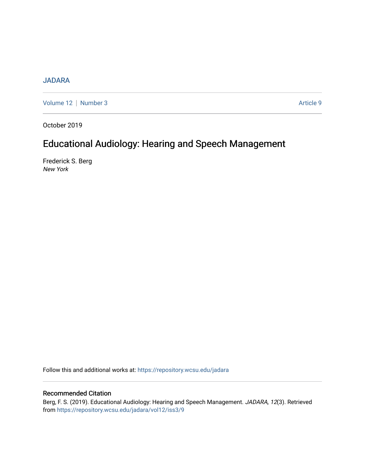# [JADARA](https://repository.wcsu.edu/jadara)

[Volume 12](https://repository.wcsu.edu/jadara/vol12) | [Number 3](https://repository.wcsu.edu/jadara/vol12/iss3) Article 9

October 2019

# Educational Audiology: Hearing and Speech Management

Frederick S. Berg New York

Follow this and additional works at: [https://repository.wcsu.edu/jadara](https://repository.wcsu.edu/jadara?utm_source=repository.wcsu.edu%2Fjadara%2Fvol12%2Fiss3%2F9&utm_medium=PDF&utm_campaign=PDFCoverPages)

## Recommended Citation

Berg, F. S. (2019). Educational Audiology: Hearing and Speech Management. JADARA, 12(3). Retrieved from [https://repository.wcsu.edu/jadara/vol12/iss3/9](https://repository.wcsu.edu/jadara/vol12/iss3/9?utm_source=repository.wcsu.edu%2Fjadara%2Fvol12%2Fiss3%2F9&utm_medium=PDF&utm_campaign=PDFCoverPages)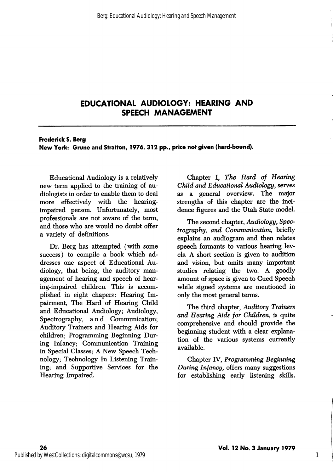# EDUCATIONAL AUDIOLOGY: HEARING AND SPEECH MANAGEMENT

#### Frederick S. Berg New York: Grune and Stratton, 1976. 312 pp., price not given (hard-bound).

Educational Audiology is a relatively new term applied to the training of audiologists in order to enable them to deal more effectively with the hearingimpaired person. Unfortunately, most professionals are not aware of the term, and those who are would no doubt offer a variety of definitions.

Dr. Berg has attempted (with some success) to compile a book which ad dresses one aspect of Educational Au diology, that being, the auditory man agement of hearing and speech of hear ing-impaired children. This is accom plished in eight chapers: Hearing Im pairment, The Hard of Hearing Child and Educational Audiology; Audiology, Spectrography, and Communication; Auditory Trainers and Hearing Aids for children; Programming Beginning Dur ing Infancy; Communication Training in Special Classes; A New Speech Tech nology; Technology In Listening Train ing; and Supportive Services for the Hearing Impaired.

Chapter I, The Hard of Hearing Child and Educational Audiology, serves as a general overview. The major strengths of this chapter are the inci dence figures and the Utah State model.

The second chapter, Audiology, Spec trography, and Communication, briefly explains an audiogram and then relates speech formants to various hearing levels. A short section is given to audition and vision, but omits many important studies relating the two. A goodly amount of space is given to Cued Speech while signed systems are mentioned in only the most general terms.

The third chapter. Auditory Trainers and Hearing Aids for Children, is quite comprehensive and should provide the beginning student with a clear explana tion of the various systems currently available.

Chapter IV, Programming Beginning During Infancy, offers many suggestions for establishing early listening skills.

1